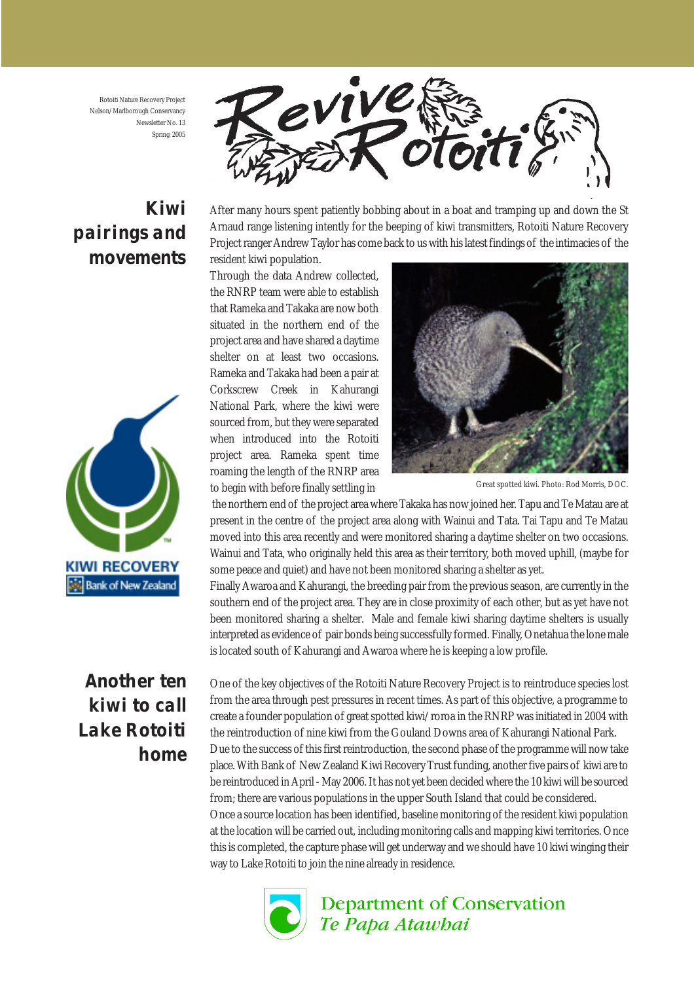Rotoiti Nature Recovery Project Nelson/Marlborough Conservancy Newsletter No. 13 Spring 2005

## *Kiwi pairings and movements*



After many hours spent patiently bobbing about in a boat and tramping up and down the St Arnaud range listening intently for the beeping of kiwi transmitters, Rotoiti Nature Recovery Project ranger Andrew Taylor has come back to us with his latest findings of the intimacies of the

resident kiwi population.

Through the data Andrew collected, the RNRP team were able to establish that Rameka and Takaka are now both situated in the northern end of the project area and have shared a daytime shelter on at least two occasions. Rameka and Takaka had been a pair at Corkscrew Creek in Kahurangi National Park, where the kiwi were sourced from, but they were separated when introduced into the Rotoiti project area. Rameka spent time roaming the length of the RNRP area to begin with before finally settling in



Great spotted kiwi. Photo: Rod Morris, DOC.

 the northern end of the project area where Takaka has now joined her. Tapu and Te Matau are at present in the centre of the project area along with Wainui and Tata. Tai Tapu and Te Matau moved into this area recently and were monitored sharing a daytime shelter on two occasions. Wainui and Tata, who originally held this area as their territory, both moved uphill, (maybe for some peace and quiet) and have not been monitored sharing a shelter as yet.

Finally Awaroa and Kahurangi, the breeding pair from the previous season, are currently in the southern end of the project area. They are in close proximity of each other, but as yet have not been monitored sharing a shelter. Male and female kiwi sharing daytime shelters is usually interpreted as evidence of pair bonds being successfully formed. Finally, Onetahua the lone male is located south of Kahurangi and Awaroa where he is keeping a low profile.

One of the key objectives of the Rotoiti Nature Recovery Project is to reintroduce species lost from the area through pest pressures in recent times. As part of this objective, a programme to create a founder population of great spotted kiwi/roroa in the RNRP was initiated in 2004 with the reintroduction of nine kiwi from the Gouland Downs area of Kahurangi National Park. Due to the success of this first reintroduction, the second phase of the programme will now take place. With Bank of New Zealand Kiwi Recovery Trust funding, another five pairs of kiwi are to be reintroduced in April - May 2006. It has not yet been decided where the 10 kiwi will be sourced from; there are various populations in the upper South Island that could be considered. Once a source location has been identified, baseline monitoring of the resident kiwi population

at the location will be carried out, including monitoring calls and mapping kiwi territories. Once this is completed, the capture phase will get underway and we should have 10 kiwi winging their way to Lake Rotoiti to join the nine already in residence.



**Department of Conservation** Te Papa Atawhai



*Another ten kiwi to call Lake Rotoiti home*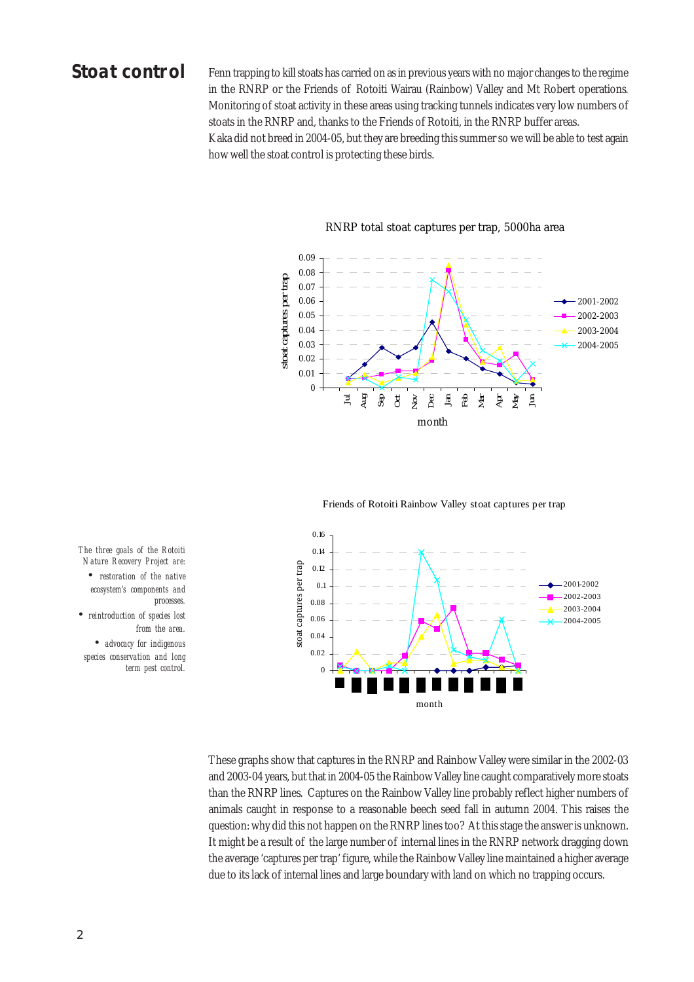#### *Stoat control*

Fenn trapping to kill stoats has carried on as in previous years with no major changes to the regime in the RNRP or the Friends of Rotoiti Wairau (Rainbow) Valley and Mt Robert operations. Monitoring of stoat activity in these areas using tracking tunnels indicates very low numbers of stoats in the RNRP and, thanks to the Friends of Rotoiti, in the RNRP buffer areas. Kaka did not breed in 2004-05, but they are breeding this summer so we will be able to test again how well the stoat control is protecting these birds.



#### RNRP total stoat captures per trap, 5000ha area

Friends of Rotoiti Rainbow Valley stoat captures per trap



*The three goals of the Rotoiti Nature Recovery Project are: • restoration of the native ecosystem's components and processes. • reintroduction of species lost from the area. • advocacy for indigenous species conservation and long*

*term pest control.*

These graphs show that captures in the RNRP and Rainbow Valley were similar in the 2002-03 and 2003-04 years, but that in 2004-05 the Rainbow Valley line caught comparatively more stoats than the RNRP lines. Captures on the Rainbow Valley line probably reflect higher numbers of animals caught in response to a reasonable beech seed fall in autumn 2004. This raises the question: why did this not happen on the RNRP lines too? At this stage the answer is unknown. It might be a result of the large number of internal lines in the RNRP network dragging down the average 'captures per trap' figure, while the Rainbow Valley line maintained a higher average due to its lack of internal lines and large boundary with land on which no trapping occurs.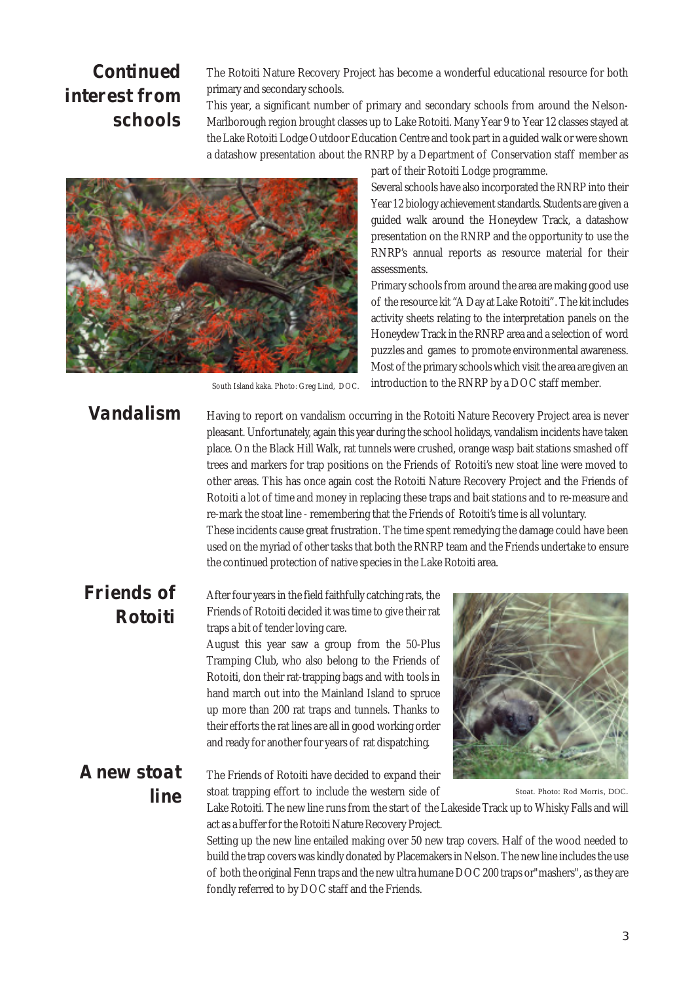## *Continued interest from schools*

The Rotoiti Nature Recovery Project has become a wonderful educational resource for both primary and secondary schools.

This year, a significant number of primary and secondary schools from around the Nelson-Marlborough region brought classes up to Lake Rotoiti. Many Year 9 to Year 12 classes stayed at the Lake Rotoiti Lodge Outdoor Education Centre and took part in a guided walk or were shown a datashow presentation about the RNRP by a Department of Conservation staff member as

assessments.

part of their Rotoiti Lodge programme.

Several schools have also incorporated the RNRP into their Year 12 biology achievement standards. Students are given a guided walk around the Honeydew Track, a datashow presentation on the RNRP and the opportunity to use the RNRP's annual reports as resource material for their

Primary schools from around the area are making good use of the resource kit "A Day at Lake Rotoiti". The kit includes activity sheets relating to the interpretation panels on the Honeydew Track in the RNRP area and a selection of word puzzles and games to promote environmental awareness. Most of the primary schools which visit the area are given an introduction to the RNRP by a DOC staff member.



South Island kaka. Photo: Greg Lind, DOC.

*Vandalism*

Having to report on vandalism occurring in the Rotoiti Nature Recovery Project area is never pleasant. Unfortunately, again this year during the school holidays, vandalism incidents have taken place. On the Black Hill Walk, rat tunnels were crushed, orange wasp bait stations smashed off trees and markers for trap positions on the Friends of Rotoiti's new stoat line were moved to other areas. This has once again cost the Rotoiti Nature Recovery Project and the Friends of Rotoiti a lot of time and money in replacing these traps and bait stations and to re-measure and re-mark the stoat line - remembering that the Friends of Rotoiti's time is all voluntary. These incidents cause great frustration. The time spent remedying the damage could have been used on the myriad of other tasks that both the RNRP team and the Friends undertake to ensure the continued protection of native species in the Lake Rotoiti area.

#### *Friends of Rotoiti*

After four years in the field faithfully catching rats, the Friends of Rotoiti decided it was time to give their rat traps a bit of tender loving care.

August this year saw a group from the 50-Plus Tramping Club, who also belong to the Friends of Rotoiti, don their rat-trapping bags and with tools in hand march out into the Mainland Island to spruce up more than 200 rat traps and tunnels. Thanks to their efforts the rat lines are all in good working order and ready for another four years of rat dispatching.

*A new stoat line*

The Friends of Rotoiti have decided to expand their stoat trapping effort to include the western side of

Lake Rotoiti. The new line runs from the start of the Lakeside Track up to Whisky Falls and will act as a buffer for the Rotoiti Nature Recovery Project.

Setting up the new line entailed making over 50 new trap covers. Half of the wood needed to build the trap covers was kindly donated by Placemakers in Nelson. The new line includes the use of both the original Fenn traps and the new ultra humane DOC 200 traps or"mashers", as they are fondly referred to by DOC staff and the Friends.

Stoat. Photo: Rod Morris, DOC.